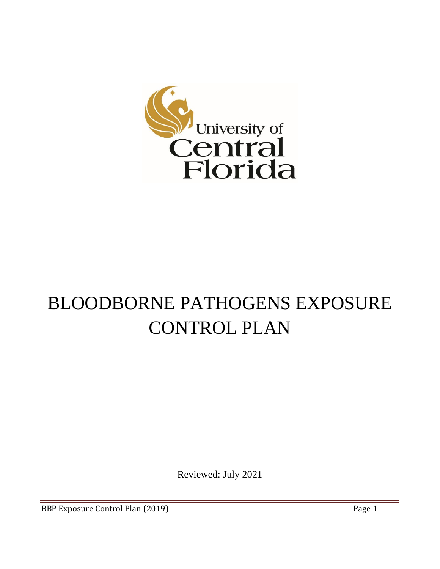

# BLOODBORNE PATHOGENS EXPOSURE CONTROL PLAN

Reviewed: July 2021

BBP Exposure Control Plan (2019) **Page 1**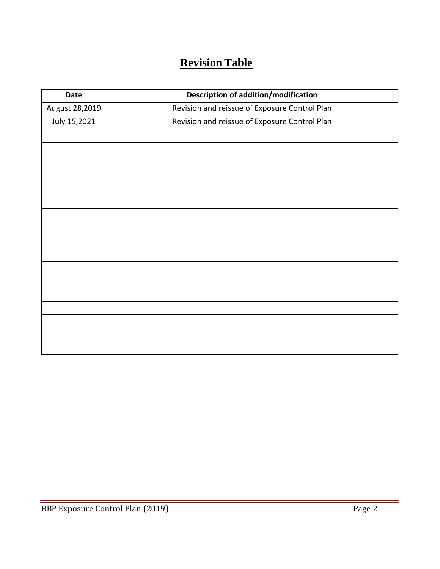# **Revision Table**

| <b>Date</b>    | <b>Description of addition/modification</b>   |  |
|----------------|-----------------------------------------------|--|
| August 28,2019 | Revision and reissue of Exposure Control Plan |  |
| July 15,2021   | Revision and reissue of Exposure Control Plan |  |
|                |                                               |  |
|                |                                               |  |
|                |                                               |  |
|                |                                               |  |
|                |                                               |  |
|                |                                               |  |
|                |                                               |  |
|                |                                               |  |
|                |                                               |  |
|                |                                               |  |
|                |                                               |  |
|                |                                               |  |
|                |                                               |  |
|                |                                               |  |
|                |                                               |  |
|                |                                               |  |
|                |                                               |  |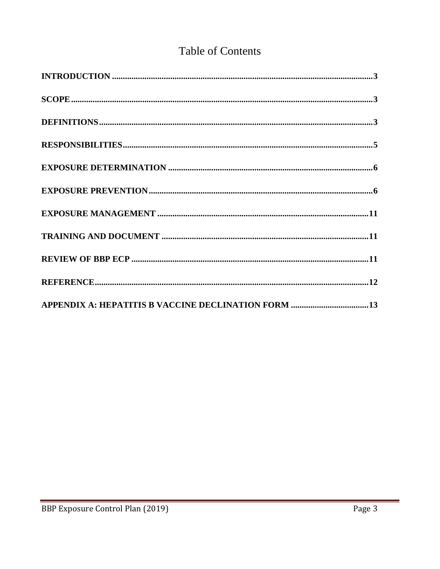## **Table of Contents**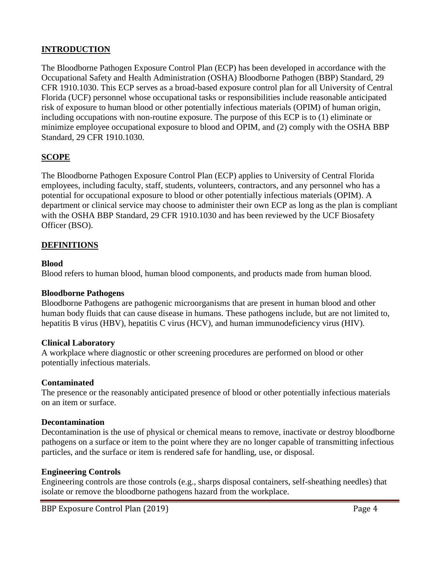#### **INTRODUCTION**

The Bloodborne Pathogen Exposure Control Plan (ECP) has been developed in accordance with the Occupational Safety and Health Administration (OSHA) Bloodborne Pathogen (BBP) Standard, 29 CFR 1910.1030. This ECP serves as a broad-based exposure control plan for all University of Central Florida (UCF) personnel whose occupational tasks or responsibilities include reasonable anticipated risk of exposure to human blood or other potentially infectious materials (OPIM) of human origin, including occupations with non-routine exposure. The purpose of this ECP is to (1) eliminate or minimize employee occupational exposure to blood and OPIM, and (2) comply with the OSHA BBP Standard, 29 CFR 1910.1030.

#### **SCOPE**

The Bloodborne Pathogen Exposure Control Plan (ECP) applies to University of Central Florida employees, including faculty, staff, students, volunteers, contractors, and any personnel who has a potential for occupational exposure to blood or other potentially infectious materials (OPIM). A department or clinical service may choose to administer their own ECP as long as the plan is compliant with the OSHA BBP Standard, 29 CFR 1910.1030 and has been reviewed by the UCF Biosafety Officer (BSO).

#### **DEFINITIONS**

#### **Blood**

Blood refers to human blood, human blood components, and products made from human blood.

#### **Bloodborne Pathogens**

Bloodborne Pathogens are pathogenic microorganisms that are present in human blood and other human body fluids that can cause disease in humans. These pathogens include, but are not limited to, hepatitis B virus (HBV), hepatitis C virus (HCV), and human immunodeficiency virus (HIV).

#### **Clinical Laboratory**

A workplace where diagnostic or other screening procedures are performed on blood or other potentially infectious materials.

#### **Contaminated**

The presence or the reasonably anticipated presence of blood or other potentially infectious materials on an item or surface.

#### **Decontamination**

Decontamination is the use of physical or chemical means to remove, inactivate or destroy bloodborne pathogens on a surface or item to the point where they are no longer capable of transmitting infectious particles, and the surface or item is rendered safe for handling, use, or disposal.

#### **Engineering Controls**

Engineering controls are those controls (e.g., sharps disposal containers, self-sheathing needles) that isolate or remove the bloodborne pathogens hazard from the workplace.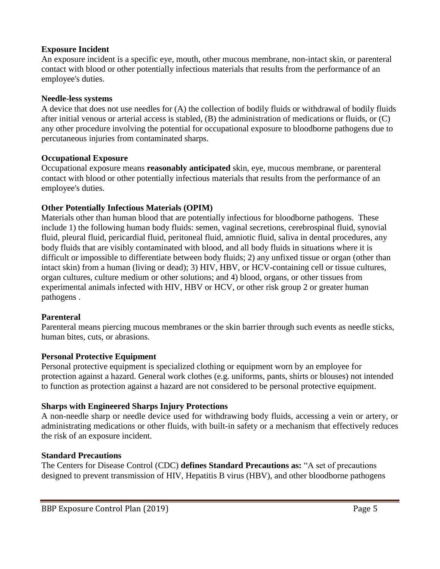#### **Exposure Incident**

An exposure incident is a specific eye, mouth, other mucous membrane, non-intact skin, or parenteral contact with blood or other potentially infectious materials that results from the performance of an employee's duties.

#### **Needle-less systems**

A device that does not use needles for (A) the collection of bodily fluids or withdrawal of bodily fluids after initial venous or arterial access is stabled, (B) the administration of medications or fluids, or (C) any other procedure involving the potential for occupational exposure to bloodborne pathogens due to percutaneous injuries from contaminated sharps.

#### **Occupational Exposure**

Occupational exposure means **reasonably anticipated** skin, eye, mucous membrane, or parenteral contact with blood or other potentially infectious materials that results from the performance of an employee's duties.

#### **Other Potentially Infectious Materials (OPIM)**

Materials other than human blood that are potentially infectious for bloodborne pathogens. These include 1) the following human body fluids: semen, vaginal secretions, cerebrospinal fluid, synovial fluid, pleural fluid, pericardial fluid, peritoneal fluid, amniotic fluid, saliva in dental procedures, any body fluids that are visibly contaminated with blood, and all body fluids in situations where it is difficult or impossible to differentiate between body fluids; 2) any unfixed tissue or organ (other than intact skin) from a human (living or dead); 3) HIV, HBV, or HCV-containing cell or tissue cultures, organ cultures, culture medium or other solutions; and 4) blood, organs, or other tissues from experimental animals infected with HIV, HBV or HCV, or other risk group 2 or greater human pathogens .

#### **Parenteral**

Parenteral means piercing mucous membranes or the skin barrier through such events as needle sticks, human bites, cuts, or abrasions.

#### **Personal Protective Equipment**

Personal protective equipment is specialized clothing or equipment worn by an employee for protection against a hazard. General work clothes (e.g. uniforms, pants, shirts or blouses) not intended to function as protection against a hazard are not considered to be personal protective equipment.

#### **Sharps with Engineered Sharps Injury Protections**

A non-needle sharp or needle device used for withdrawing body fluids, accessing a vein or artery, or administrating medications or other fluids, with built-in safety or a mechanism that effectively reduces the risk of an exposure incident.

#### **Standard Precautions**

The Centers for Disease Control (CDC) **defines Standard Precautions as:** "A set of precautions designed to prevent transmission of HIV, Hepatitis B virus (HBV), and other bloodborne pathogens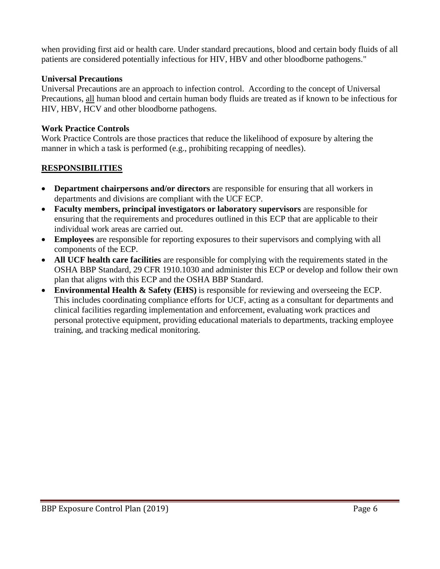when providing first aid or health care. Under standard precautions, blood and certain body fluids of all patients are considered potentially infectious for HIV, HBV and other bloodborne pathogens."

#### **Universal Precautions**

Universal Precautions are an approach to infection control. According to the concept of Universal Precautions, all human blood and certain human body fluids are treated as if known to be infectious for HIV, HBV, HCV and other bloodborne pathogens.

#### **Work Practice Controls**

Work Practice Controls are those practices that reduce the likelihood of exposure by altering the manner in which a task is performed (e.g., prohibiting recapping of needles).

### **RESPONSIBILITIES**

- **Department chairpersons and/or directors** are responsible for ensuring that all workers in departments and divisions are compliant with the UCF ECP.
- **Faculty members, principal investigators or laboratory supervisors** are responsible for ensuring that the requirements and procedures outlined in this ECP that are applicable to their individual work areas are carried out.
- **Employees** are responsible for reporting exposures to their supervisors and complying with all components of the ECP.
- **All UCF health care facilities** are responsible for complying with the requirements stated in the OSHA BBP Standard, 29 CFR 1910.1030 and administer this ECP or develop and follow their own plan that aligns with this ECP and the OSHA BBP Standard.
- **Environmental Health & Safety (EHS)** is responsible for reviewing and overseeing the ECP. This includes coordinating compliance efforts for UCF, acting as a consultant for departments and clinical facilities regarding implementation and enforcement, evaluating work practices and personal protective equipment, providing educational materials to departments, tracking employee training, and tracking medical monitoring.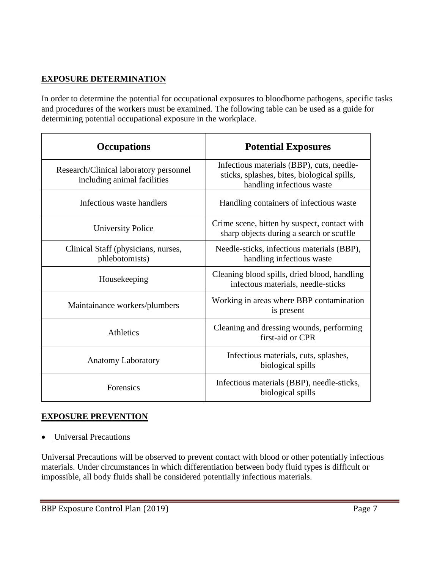#### **EXPOSURE DETERMINATION**

In order to determine the potential for occupational exposures to bloodborne pathogens, specific tasks and procedures of the workers must be examined. The following table can be used as a guide for determining potential occupational exposure in the workplace.

| <b>Occupations</b>                                                    | <b>Potential Exposures</b>                                                                                            |  |
|-----------------------------------------------------------------------|-----------------------------------------------------------------------------------------------------------------------|--|
| Research/Clinical laboratory personnel<br>including animal facilities | Infectious materials (BBP), cuts, needle-<br>sticks, splashes, bites, biological spills,<br>handling infectious waste |  |
| Infectious waste handlers                                             | Handling containers of infectious waste                                                                               |  |
| <b>University Police</b>                                              | Crime scene, bitten by suspect, contact with<br>sharp objects during a search or scuffle                              |  |
| Clinical Staff (physicians, nurses,<br>phlebotomists)                 | Needle-sticks, infectious materials (BBP),<br>handling infectious waste                                               |  |
| Housekeeping                                                          | Cleaning blood spills, dried blood, handling<br>infectous materials, needle-sticks                                    |  |
| Maintainance workers/plumbers                                         | Working in areas where BBP contamination<br>is present                                                                |  |
| <b>Athletics</b>                                                      | Cleaning and dressing wounds, performing<br>first-aid or CPR                                                          |  |
| <b>Anatomy Laboratory</b>                                             | Infectious materials, cuts, splashes,<br>biological spills                                                            |  |
| Forensics                                                             | Infectious materials (BBP), needle-sticks,<br>biological spills                                                       |  |

#### **EXPOSURE PREVENTION**

• Universal Precautions

Universal Precautions will be observed to prevent contact with blood or other potentially infectious materials. Under circumstances in which differentiation between body fluid types is difficult or impossible, all body fluids shall be considered potentially infectious materials.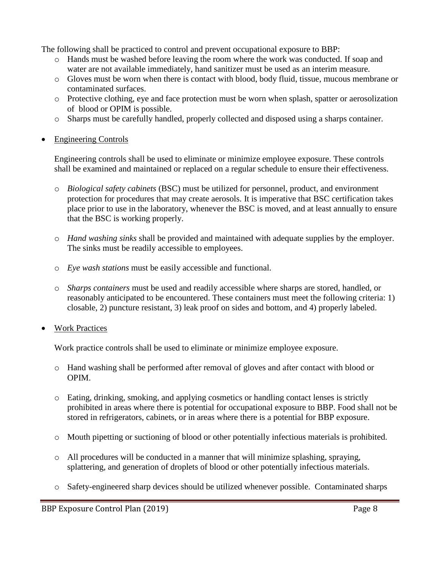The following shall be practiced to control and prevent occupational exposure to BBP:

- o Hands must be washed before leaving the room where the work was conducted. If soap and water are not available immediately, hand sanitizer must be used as an interim measure.
- o Gloves must be worn when there is contact with blood, body fluid, tissue, mucous membrane or contaminated surfaces.
- o Protective clothing, eye and face protection must be worn when splash, spatter or aerosolization of blood or OPIM is possible.
- o Sharps must be carefully handled, properly collected and disposed using a sharps container.
- Engineering Controls

Engineering controls shall be used to eliminate or minimize employee exposure. These controls shall be examined and maintained or replaced on a regular schedule to ensure their effectiveness.

- o *Biological safety cabinets* (BSC) must be utilized for personnel, product, and environment protection for procedures that may create aerosols. It is imperative that BSC certification takes place prior to use in the laboratory, whenever the BSC is moved, and at least annually to ensure that the BSC is working properly.
- o *Hand washing sinks* shall be provided and maintained with adequate supplies by the employer. The sinks must be readily accessible to employees.
- o *Eye wash stations* must be easily accessible and functional.
- o *Sharps containers* must be used and readily accessible where sharps are stored, handled, or reasonably anticipated to be encountered. These containers must meet the following criteria: 1) closable, 2) puncture resistant, 3) leak proof on sides and bottom, and 4) properly labeled.
- **Work Practices**

Work practice controls shall be used to eliminate or minimize employee exposure.

- o Hand washing shall be performed after removal of gloves and after contact with blood or OPIM.
- o Eating, drinking, smoking, and applying cosmetics or handling contact lenses is strictly prohibited in areas where there is potential for occupational exposure to BBP. Food shall not be stored in refrigerators, cabinets, or in areas where there is a potential for BBP exposure.
- o Mouth pipetting or suctioning of blood or other potentially infectious materials is prohibited.
- o All procedures will be conducted in a manner that will minimize splashing, spraying, splattering, and generation of droplets of blood or other potentially infectious materials.
- o Safety-engineered sharp devices should be utilized whenever possible. Contaminated sharps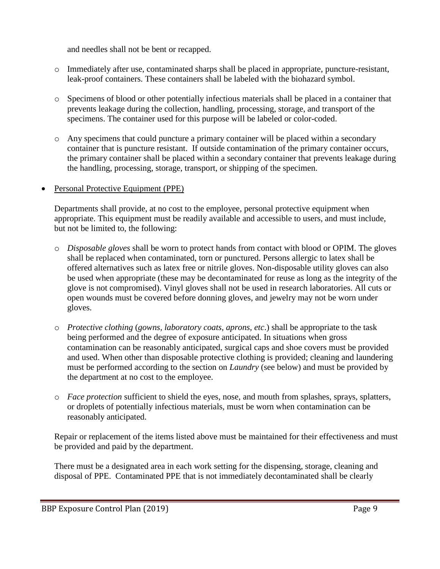and needles shall not be bent or recapped.

- o Immediately after use, contaminated sharps shall be placed in appropriate, puncture-resistant, leak-proof containers. These containers shall be labeled with the biohazard symbol.
- o Specimens of blood or other potentially infectious materials shall be placed in a container that prevents leakage during the collection, handling, processing, storage, and transport of the specimens. The container used for this purpose will be labeled or color-coded.
- o Any specimens that could puncture a primary container will be placed within a secondary container that is puncture resistant. If outside contamination of the primary container occurs, the primary container shall be placed within a secondary container that prevents leakage during the handling, processing, storage, transport, or shipping of the specimen.
- Personal Protective Equipment (PPE)

Departments shall provide, at no cost to the employee, personal protective equipment when appropriate. This equipment must be readily available and accessible to users, and must include, but not be limited to, the following:

- o *Disposable gloves* shall be worn to protect hands from contact with blood or OPIM. The gloves shall be replaced when contaminated, torn or punctured. Persons allergic to latex shall be offered alternatives such as latex free or nitrile gloves. Non-disposable utility gloves can also be used when appropriate (these may be decontaminated for reuse as long as the integrity of the glove is not compromised). Vinyl gloves shall not be used in research laboratories. All cuts or open wounds must be covered before donning gloves, and jewelry may not be worn under gloves.
- o *Protective clothing* (*gowns, laboratory coats, aprons, etc*.) shall be appropriate to the task being performed and the degree of exposure anticipated. In situations when gross contamination can be reasonably anticipated, surgical caps and shoe covers must be provided and used. When other than disposable protective clothing is provided; cleaning and laundering must be performed according to the section on *Laundry* (see below) and must be provided by the department at no cost to the employee.
- o *Face protection* sufficient to shield the eyes, nose, and mouth from splashes, sprays, splatters, or droplets of potentially infectious materials, must be worn when contamination can be reasonably anticipated.

Repair or replacement of the items listed above must be maintained for their effectiveness and must be provided and paid by the department.

There must be a designated area in each work setting for the dispensing, storage, cleaning and disposal of PPE. Contaminated PPE that is not immediately decontaminated shall be clearly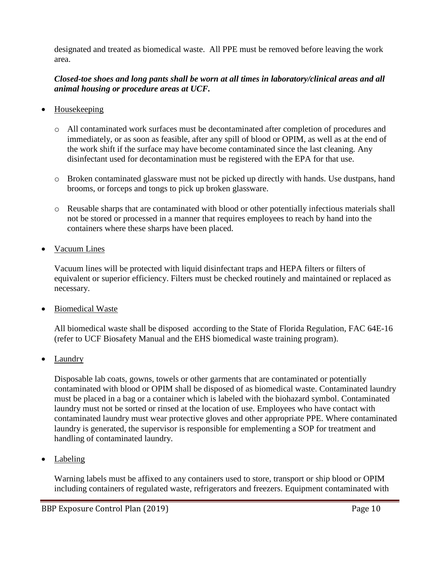designated and treated as biomedical waste. All PPE must be removed before leaving the work area.

#### *Closed-toe shoes and long pants shall be worn at all times in laboratory/clinical areas and all animal housing or procedure areas at UCF.*

- Housekeeping
	- o All contaminated work surfaces must be decontaminated after completion of procedures and immediately, or as soon as feasible, after any spill of blood or OPIM, as well as at the end of the work shift if the surface may have become contaminated since the last cleaning. Any disinfectant used for decontamination must be registered with the EPA for that use.
	- o Broken contaminated glassware must not be picked up directly with hands. Use dustpans, hand brooms, or forceps and tongs to pick up broken glassware.
	- o Reusable sharps that are contaminated with blood or other potentially infectious materials shall not be stored or processed in a manner that requires employees to reach by hand into the containers where these sharps have been placed.
- Vacuum Lines

Vacuum lines will be protected with liquid disinfectant traps and HEPA filters or filters of equivalent or superior efficiency. Filters must be checked routinely and maintained or replaced as necessary.

• Biomedical Waste

All biomedical waste shall be disposed according to the State of Florida Regulation, FAC 64E-16 (refer to UCF Biosafety Manual and the EHS biomedical waste training program).

• Laundry

Disposable lab coats, gowns, towels or other garments that are contaminated or potentially contaminated with blood or OPIM shall be disposed of as biomedical waste. Contaminated laundry must be placed in a bag or a container which is labeled with the biohazard symbol. Contaminated laundry must not be sorted or rinsed at the location of use. Employees who have contact with contaminated laundry must wear protective gloves and other appropriate PPE. Where contaminated laundry is generated, the supervisor is responsible for emplementing a SOP for treatment and handling of contaminated laundry.

• Labeling

Warning labels must be affixed to any containers used to store, transport or ship blood or OPIM including containers of regulated waste, refrigerators and freezers. Equipment contaminated with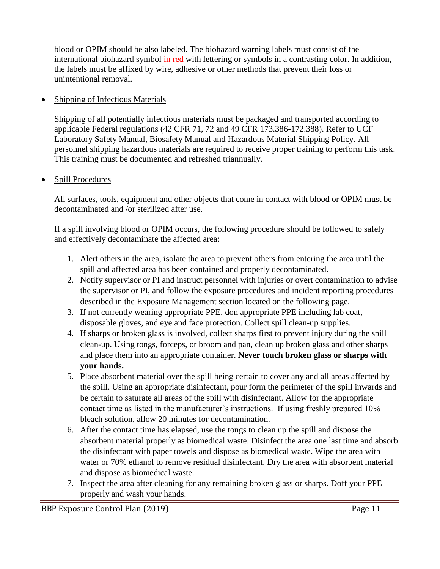blood or OPIM should be also labeled. The biohazard warning labels must consist of the international biohazard symbol in red with lettering or symbols in a contrasting color. In addition, the labels must be affixed by wire, adhesive or other methods that prevent their loss or unintentional removal.

#### • Shipping of Infectious Materials

Shipping of all potentially infectious materials must be packaged and transported according to applicable Federal regulations (42 CFR 71, 72 and 49 CFR 173.386-172.388). Refer to UCF Laboratory Safety Manual, Biosafety Manual and Hazardous Material Shipping Policy. All personnel shipping hazardous materials are required to receive proper training to perform this task. This training must be documented and refreshed triannually.

#### • Spill Procedures

All surfaces, tools, equipment and other objects that come in contact with blood or OPIM must be decontaminated and /or sterilized after use.

If a spill involving blood or OPIM occurs, the following procedure should be followed to safely and effectively decontaminate the affected area:

- 1. Alert others in the area, isolate the area to prevent others from entering the area until the spill and affected area has been contained and properly decontaminated.
- 2. Notify supervisor or PI and instruct personnel with injuries or overt contamination to advise the supervisor or PI, and follow the exposure procedures and incident reporting procedures described in the Exposure Management section located on the following page.
- 3. If not currently wearing appropriate PPE, don appropriate PPE including lab coat, disposable gloves, and eye and face protection. Collect spill clean-up supplies.
- 4. If sharps or broken glass is involved, collect sharps first to prevent injury during the spill clean-up. Using tongs, forceps, or broom and pan, clean up broken glass and other sharps and place them into an appropriate container. **Never touch broken glass or sharps with your hands.**
- 5. Place absorbent material over the spill being certain to cover any and all areas affected by the spill. Using an appropriate disinfectant, pour form the perimeter of the spill inwards and be certain to saturate all areas of the spill with disinfectant. Allow for the appropriate contact time as listed in the manufacturer's instructions. If using freshly prepared 10% bleach solution, allow 20 minutes for decontamination.
- 6. After the contact time has elapsed, use the tongs to clean up the spill and dispose the absorbent material properly as biomedical waste. Disinfect the area one last time and absorb the disinfectant with paper towels and dispose as biomedical waste. Wipe the area with water or 70% ethanol to remove residual disinfectant. Dry the area with absorbent material and dispose as biomedical waste.
- 7. Inspect the area after cleaning for any remaining broken glass or sharps. Doff your PPE properly and wash your hands.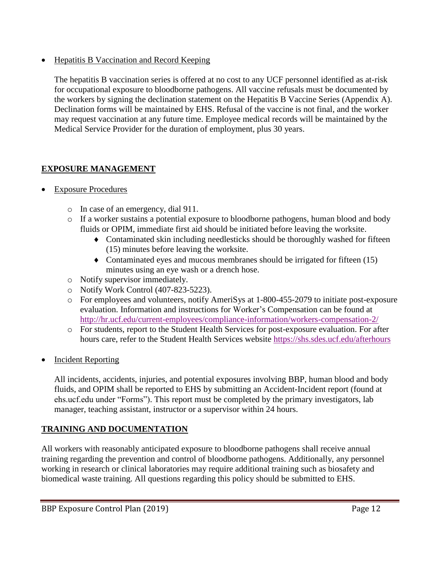• Hepatitis B Vaccination and Record Keeping

The hepatitis B vaccination series is offered at no cost to any UCF personnel identified as at-risk for occupational exposure to bloodborne pathogens. All vaccine refusals must be documented by the workers by signing the declination statement on the Hepatitis B Vaccine Series (Appendix A). Declination forms will be maintained by EHS. Refusal of the vaccine is not final, and the worker may request vaccination at any future time. Employee medical records will be maintained by the Medical Service Provider for the duration of employment, plus 30 years.

### **EXPOSURE MANAGEMENT**

- Exposure Procedures
	- o In case of an emergency, dial 911.
	- o If a worker sustains a potential exposure to bloodborne pathogens, human blood and body fluids or OPIM, immediate first aid should be initiated before leaving the worksite.
		- Contaminated skin including needlesticks should be thoroughly washed for fifteen (15) minutes before leaving the worksite.
		- Contaminated eyes and mucous membranes should be irrigated for fifteen (15) minutes using an eye wash or a drench hose.
	- o Notify supervisor immediately.
	- o Notify Work Control (407-823-5223).
	- o For employees and volunteers, notify AmeriSys at 1-800-455-2079 to initiate post-exposure evaluation. Information and instructions for Worker's Compensation can be found at <http://hr.ucf.edu/current-employees/compliance-information/workers-compensation-2/>
	- o For students, report to the Student Health Services for post-exposure evaluation. For after hours care, refer to the Student Health Services website<https://shs.sdes.ucf.edu/afterhours>
- Incident Reporting

All incidents, accidents, injuries, and potential exposures involving BBP, human blood and body fluids, and OPIM shall be reported to EHS by submitting an Accident-Incident report (found at ehs.ucf.edu under "Forms"). This report must be completed by the primary investigators, lab manager, teaching assistant, instructor or a supervisor within 24 hours.

## **TRAINING AND DOCUMENTATION**

All workers with reasonably anticipated exposure to bloodborne pathogens shall receive annual training regarding the prevention and control of bloodborne pathogens. Additionally, any personnel working in research or clinical laboratories may require additional training such as biosafety and biomedical waste training. All questions regarding this policy should be submitted to EHS.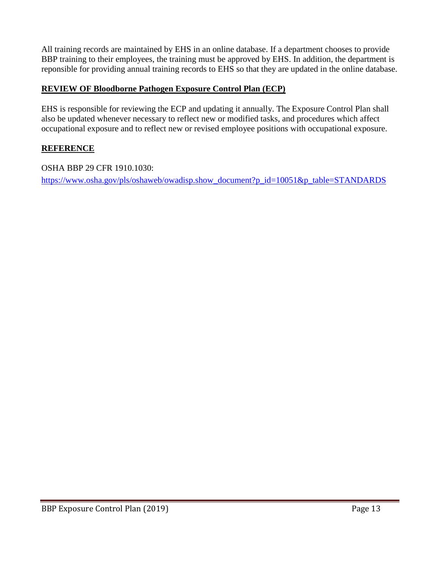All training records are maintained by EHS in an online database. If a department chooses to provide BBP training to their employees, the training must be approved by EHS. In addition, the department is reponsible for providing annual training records to EHS so that they are updated in the online database.

#### **REVIEW OF Bloodborne Pathogen Exposure Control Plan (ECP)**

EHS is responsible for reviewing the ECP and updating it annually. The Exposure Control Plan shall also be updated whenever necessary to reflect new or modified tasks, and procedures which affect occupational exposure and to reflect new or revised employee positions with occupational exposure.

#### **REFERENCE**

OSHA BBP 29 CFR 1910.1030:

[https://www.osha.gov/pls/oshaweb/owadisp.show\\_document?p\\_id=10051&p\\_table=STANDARDS](https://www.osha.gov/pls/oshaweb/owadisp.show_document?p_id=10051&p_table=STANDARDS)